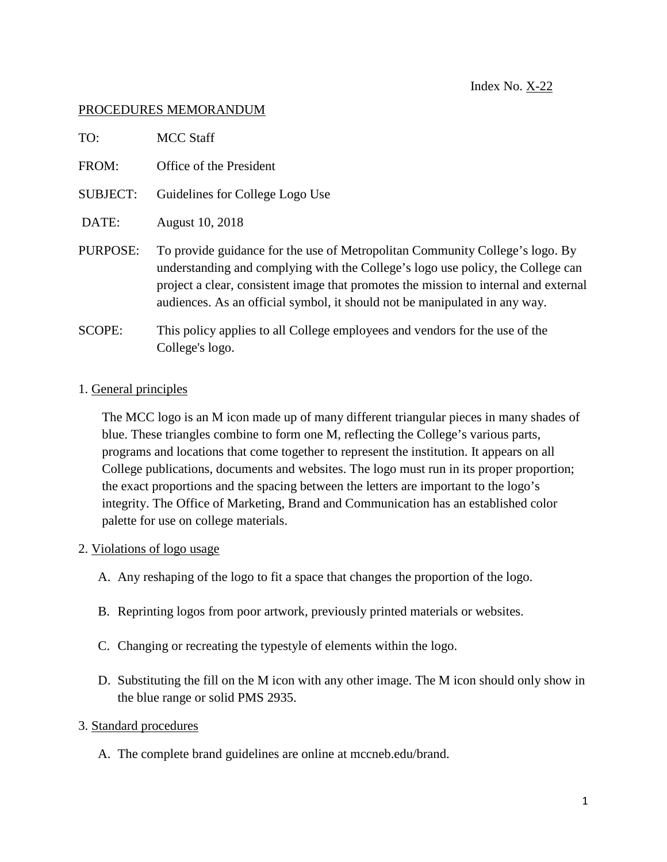## PROCEDURES MEMORANDUM

| TO:             | <b>MCC Staff</b>                                                                                                                                                                                                                                                                                                                      |
|-----------------|---------------------------------------------------------------------------------------------------------------------------------------------------------------------------------------------------------------------------------------------------------------------------------------------------------------------------------------|
| FROM:           | Office of the President                                                                                                                                                                                                                                                                                                               |
| <b>SUBJECT:</b> | Guidelines for College Logo Use                                                                                                                                                                                                                                                                                                       |
| DATE:           | August 10, 2018                                                                                                                                                                                                                                                                                                                       |
| PURPOSE:        | To provide guidance for the use of Metropolitan Community College's logo. By<br>understanding and complying with the College's logo use policy, the College can<br>project a clear, consistent image that promotes the mission to internal and external<br>audiences. As an official symbol, it should not be manipulated in any way. |
| <b>SCOPE:</b>   | This policy applies to all College employees and vendors for the use of the<br>College's logo.                                                                                                                                                                                                                                        |

## 1. General principles

The MCC logo is an M icon made up of many different triangular pieces in many shades of blue. These triangles combine to form one M, reflecting the College's various parts, programs and locations that come together to represent the institution. It appears on all College publications, documents and websites. The logo must run in its proper proportion; the exact proportions and the spacing between the letters are important to the logo's integrity. The Office of Marketing, Brand and Communication has an established color palette for use on college materials.

## 2. Violations of logo usage

- A. Any reshaping of the logo to fit a space that changes the proportion of the logo.
- B. Reprinting logos from poor artwork, previously printed materials or websites.
- C. Changing or recreating the typestyle of elements within the logo.
- D. Substituting the fill on the M icon with any other image. The M icon should only show in the blue range or solid PMS 2935.

## 3. Standard procedures

A. The complete brand guidelines are online at mccneb.edu/brand.